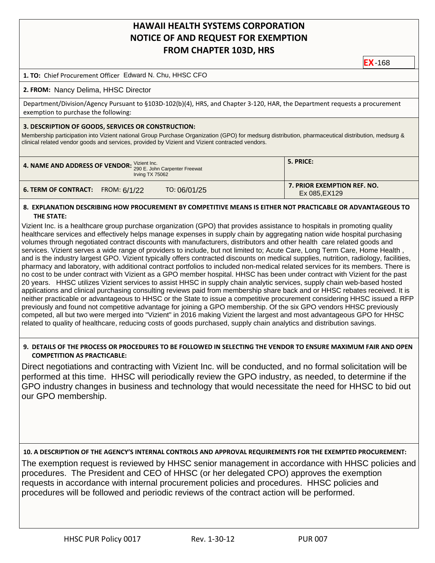# **HAWAII HEALTH SYSTEMS CORPORATION NOTICE OF AND REQUEST FOR EXEMPTION FROM CHAPTER 103D, HRS**

**EX** -168

# **1. TO:** Chief Procurement Officer Edward N. Chu, HHSC CFO

## **2. FROM:** Nancy Delima, HHSC Director

Department/Division/Agency Pursuant to §103D-102(b)(4), HRS, and Chapter 3-120, HAR, the Department requests a procurement exemption to purchase the following:

#### **3. DESCRIPTION OF GOODS, SERVICES OR CONSTRUCTION:**

Membership participation into Vizient national Group Purchase Organization (GPO) for medsurg distribution, pharmaceutical distribution, medsurg & clinical related vendor goods and services, provided by Vizient and Vizient contracted vendors.

| 4. NAME AND ADDRESS OF VENDOR: Vizient Inc. John Carpenter Freewat<br>Irving TX 75062 | 5. PRICE:                   |  |  |
|---------------------------------------------------------------------------------------|-----------------------------|--|--|
| TO: 06/01/25                                                                          | 7. PRIOR EXEMPTION REF. NO. |  |  |
| <b>6. TERM OF CONTRACT:</b> FROM: $6/1/22$                                            | Ex 085, EX129               |  |  |

#### **8. EXPLANATION DESCRIBING HOW PROCUREMENT BY COMPETITIVE MEANS IS EITHER NOT PRACTICABLE OR ADVANTAGEOUS TO THE STATE:**

Vizient Inc. is a healthcare group purchase organization (GPO) that provides assistance to hospitals in promoting quality healthcare services and effectively helps manage expenses in supply chain by aggregating nation wide hospital purchasing volumes through negotiated contract discounts with manufacturers, distributors and other health care related goods and services. Vizient serves a wide range of providers to include, but not limited to; Acute Care, Long Term Care, Home Health , and is the industry largest GPO. Vizient typically offers contracted discounts on medical supplies, nutrition, radiology, facilities, pharmacy and laboratory, with additional contract portfolios to included non-medical related services for its members. There is no cost to be under contract with Vizient as a GPO member hospital. HHSC has been under contract with Vizient for the past 20 years. HHSC utilizes Vizient services to assist HHSC in supply chain analytic services, supply chain web-based hosted applications and clinical purchasing consulting reviews paid from membership share back and or HHSC rebates received. It is neither practicable or advantageous to HHSC or the State to issue a competitive procurement considering HHSC issued a RFP previously and found not competitive advantage for joining a GPO membership. Of the six GPO vendors HHSC previously competed, all but two were merged into "Vizient" in 2016 making Vizient the largest and most advantageous GPO for HHSC related to quality of healthcare, reducing costs of goods purchased, supply chain analytics and distribution savings.

## **9. DETAILS OF THE PROCESS OR PROCEDURES TO BE FOLLOWED IN SELECTING THE VENDOR TO ENSURE MAXIMUM FAIR AND OPEN COMPETITION AS PRACTICABLE:**

Direct negotiations and contracting with Vizient Inc. will be conducted, and no formal solicitation will be performed at this time. HHSC will periodically review the GPO industry, as needed, to determine if the GPO industry changes in business and technology that would necessitate the need for HHSC to bid out our GPO membership.

**10. A DESCRIPTION OF THE AGENCY'S INTERNAL CONTROLS AND APPROVAL REQUIREMENTS FOR THE EXEMPTED PROCUREMENT:**

The exemption request is reviewed by HHSC senior management in accordance with HHSC policies and procedures. The President and CEO of HHSC (or her delegated CPO) approves the exemption requests in accordance with internal procurement policies and procedures. HHSC policies and procedures will be followed and periodic reviews of the contract action will be performed.